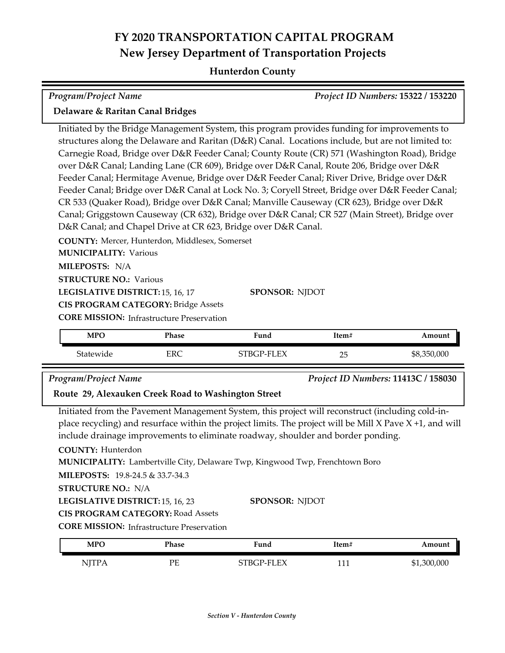## **FY 2020 TRANSPORTATION CAPITAL PROGRAM New Jersey Department of Transportation Projects**

#### **Hunterdon County**

| <b>Program/Project Name</b>                                                                                                                                                                                                                                             |              |                                                                                                                                                                                                                                                                                                                                                                                                                                                                                                                                                                                                                                                                                                                                                                                                                                                                                        |       | Project ID Numbers: 15322 / 153220 |
|-------------------------------------------------------------------------------------------------------------------------------------------------------------------------------------------------------------------------------------------------------------------------|--------------|----------------------------------------------------------------------------------------------------------------------------------------------------------------------------------------------------------------------------------------------------------------------------------------------------------------------------------------------------------------------------------------------------------------------------------------------------------------------------------------------------------------------------------------------------------------------------------------------------------------------------------------------------------------------------------------------------------------------------------------------------------------------------------------------------------------------------------------------------------------------------------------|-------|------------------------------------|
| Delaware & Raritan Canal Bridges                                                                                                                                                                                                                                        |              |                                                                                                                                                                                                                                                                                                                                                                                                                                                                                                                                                                                                                                                                                                                                                                                                                                                                                        |       |                                    |
| COUNTY: Mercer, Hunterdon, Middlesex, Somerset<br><b>MUNICIPALITY: Various</b><br>MILEPOSTS: N/A<br><b>STRUCTURE NO.: Various</b><br>LEGISLATIVE DISTRICT: 15, 16, 17<br><b>CIS PROGRAM CATEGORY: Bridge Assets</b><br><b>CORE MISSION:</b> Infrastructure Preservation |              | Initiated by the Bridge Management System, this program provides funding for improvements to<br>structures along the Delaware and Raritan (D&R) Canal. Locations include, but are not limited to:<br>Carnegie Road, Bridge over D&R Feeder Canal; County Route (CR) 571 (Washington Road), Bridge<br>over D&R Canal; Landing Lane (CR 609), Bridge over D&R Canal, Route 206, Bridge over D&R<br>Feeder Canal; Hermitage Avenue, Bridge over D&R Feeder Canal; River Drive, Bridge over D&R<br>Feeder Canal; Bridge over D&R Canal at Lock No. 3; Coryell Street, Bridge over D&R Feeder Canal;<br>CR 533 (Quaker Road), Bridge over D&R Canal; Manville Causeway (CR 623), Bridge over D&R<br>Canal; Griggstown Causeway (CR 632), Bridge over D&R Canal; CR 527 (Main Street), Bridge over<br>D&R Canal; and Chapel Drive at CR 623, Bridge over D&R Canal.<br><b>SPONSOR: NJDOT</b> |       |                                    |
| <b>MPO</b>                                                                                                                                                                                                                                                              | <b>Phase</b> | Fund                                                                                                                                                                                                                                                                                                                                                                                                                                                                                                                                                                                                                                                                                                                                                                                                                                                                                   | Item# | Amount                             |
| Statewide                                                                                                                                                                                                                                                               | <b>ERC</b>   | STBGP-FLEX                                                                                                                                                                                                                                                                                                                                                                                                                                                                                                                                                                                                                                                                                                                                                                                                                                                                             | 25    | \$8,350,000                        |
| <b>Program/Project Name</b><br>Project ID Numbers: 11413C / 158030<br>Route 29, Alexauken Creek Road to Washington Street                                                                                                                                               |              |                                                                                                                                                                                                                                                                                                                                                                                                                                                                                                                                                                                                                                                                                                                                                                                                                                                                                        |       |                                    |
| <b>COUNTY: Hunterdon</b>                                                                                                                                                                                                                                                |              | Initiated from the Pavement Management System, this project will reconstruct (including cold-in-<br>place recycling) and resurface within the project limits. The project will be Mill $X$ Pave $X + 1$ , and will<br>include drainage improvements to eliminate roadway, shoulder and border ponding.                                                                                                                                                                                                                                                                                                                                                                                                                                                                                                                                                                                 |       |                                    |

**CIS PROGRAM CATEGORY:** Road Assets

**CORE MISSION: Infrastructure Preservation** 

| <b>MPC</b> | Phase | Fund           | Item# | Amount      |
|------------|-------|----------------|-------|-------------|
| NITP.      | PE    | FX<br>EТ<br>ுர | 111   | \$1,300,000 |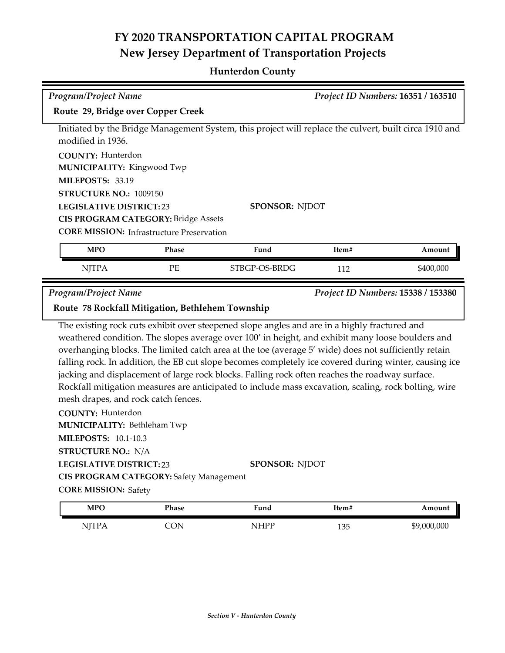# **FY 2020 TRANSPORTATION CAPITAL PROGRAM New Jersey Department of Transportation Projects**

#### **Hunterdon County**

| <b>Program/Project Name</b>                                                                                                          |                                                  |                                                                                                                                                                                                                                                                                                                                                                                                                                                                                                                                                                                                                             |       | Project ID Numbers: 16351 / 163510 |  |
|--------------------------------------------------------------------------------------------------------------------------------------|--------------------------------------------------|-----------------------------------------------------------------------------------------------------------------------------------------------------------------------------------------------------------------------------------------------------------------------------------------------------------------------------------------------------------------------------------------------------------------------------------------------------------------------------------------------------------------------------------------------------------------------------------------------------------------------------|-------|------------------------------------|--|
| Route 29, Bridge over Copper Creek                                                                                                   |                                                  |                                                                                                                                                                                                                                                                                                                                                                                                                                                                                                                                                                                                                             |       |                                    |  |
|                                                                                                                                      |                                                  |                                                                                                                                                                                                                                                                                                                                                                                                                                                                                                                                                                                                                             |       |                                    |  |
| modified in 1936.                                                                                                                    |                                                  | Initiated by the Bridge Management System, this project will replace the culvert, built circa 1910 and                                                                                                                                                                                                                                                                                                                                                                                                                                                                                                                      |       |                                    |  |
| <b>COUNTY: Hunterdon</b>                                                                                                             |                                                  |                                                                                                                                                                                                                                                                                                                                                                                                                                                                                                                                                                                                                             |       |                                    |  |
| <b>MUNICIPALITY: Kingwood Twp</b>                                                                                                    |                                                  |                                                                                                                                                                                                                                                                                                                                                                                                                                                                                                                                                                                                                             |       |                                    |  |
| MILEPOSTS: 33.19                                                                                                                     |                                                  |                                                                                                                                                                                                                                                                                                                                                                                                                                                                                                                                                                                                                             |       |                                    |  |
| STRUCTURE NO.: 1009150                                                                                                               |                                                  |                                                                                                                                                                                                                                                                                                                                                                                                                                                                                                                                                                                                                             |       |                                    |  |
|                                                                                                                                      | <b>LEGISLATIVE DISTRICT:23</b><br>SPONSOR: NJDOT |                                                                                                                                                                                                                                                                                                                                                                                                                                                                                                                                                                                                                             |       |                                    |  |
|                                                                                                                                      | <b>CIS PROGRAM CATEGORY: Bridge Assets</b>       |                                                                                                                                                                                                                                                                                                                                                                                                                                                                                                                                                                                                                             |       |                                    |  |
|                                                                                                                                      | <b>CORE MISSION:</b> Infrastructure Preservation |                                                                                                                                                                                                                                                                                                                                                                                                                                                                                                                                                                                                                             |       |                                    |  |
| <b>MPO</b>                                                                                                                           | Phase                                            | Fund                                                                                                                                                                                                                                                                                                                                                                                                                                                                                                                                                                                                                        | Item# | Amount                             |  |
|                                                                                                                                      |                                                  |                                                                                                                                                                                                                                                                                                                                                                                                                                                                                                                                                                                                                             |       |                                    |  |
|                                                                                                                                      |                                                  |                                                                                                                                                                                                                                                                                                                                                                                                                                                                                                                                                                                                                             |       |                                    |  |
| <b>NJTPA</b>                                                                                                                         | PE                                               | STBGP-OS-BRDG                                                                                                                                                                                                                                                                                                                                                                                                                                                                                                                                                                                                               | 112   | \$400,000                          |  |
|                                                                                                                                      |                                                  |                                                                                                                                                                                                                                                                                                                                                                                                                                                                                                                                                                                                                             |       |                                    |  |
| <b>Program/Project Name</b><br>Route 78 Rockfall Mitigation, Bethlehem Township                                                      |                                                  |                                                                                                                                                                                                                                                                                                                                                                                                                                                                                                                                                                                                                             |       | Project ID Numbers: 15338 / 153380 |  |
| mesh drapes, and rock catch fences.<br><b>COUNTY: Hunterdon</b><br><b>MUNICIPALITY: Bethleham Twp</b><br><b>MILEPOSTS: 10.1-10.3</b> |                                                  | The existing rock cuts exhibit over steepened slope angles and are in a highly fractured and<br>weathered condition. The slopes average over 100' in height, and exhibit many loose boulders and<br>overhanging blocks. The limited catch area at the toe (average 5' wide) does not sufficiently retain<br>falling rock. In addition, the EB cut slope becomes completely ice covered during winter, causing ice<br>jacking and displacement of large rock blocks. Falling rock often reaches the roadway surface.<br>Rockfall mitigation measures are anticipated to include mass excavation, scaling, rock bolting, wire |       |                                    |  |
| <b>STRUCTURE NO.: N/A</b>                                                                                                            |                                                  |                                                                                                                                                                                                                                                                                                                                                                                                                                                                                                                                                                                                                             |       |                                    |  |

**CIS PROGRAM CATEGORY:** Safety Management

**CORE MISSION: Safety** 

| <b>MPO</b>     | Phase  | Fund        | Item#           | Amount      |
|----------------|--------|-------------|-----------------|-------------|
| $\sqrt{1}$ TPA | $\cap$ | <b>NHPP</b> | 10 <sub>0</sub> | \$9,000,000 |
| .              | ັບ⊥ະ   | TT T        | 133             |             |